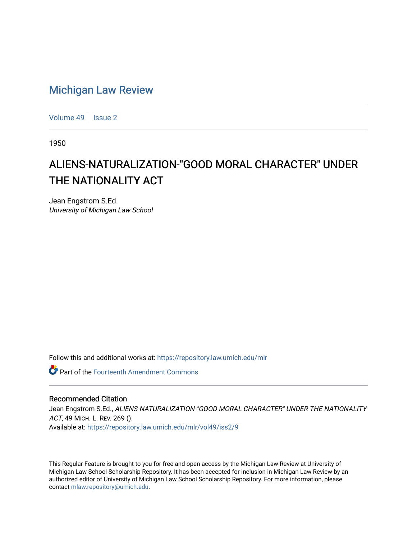## [Michigan Law Review](https://repository.law.umich.edu/mlr)

[Volume 49](https://repository.law.umich.edu/mlr/vol49) | [Issue 2](https://repository.law.umich.edu/mlr/vol49/iss2)

1950

## ALIENS-NATURALIZATION-"GOOD MORAL CHARACTER" UNDER THE NATIONALITY ACT

Jean Engstrom S.Ed. University of Michigan Law School

Follow this and additional works at: [https://repository.law.umich.edu/mlr](https://repository.law.umich.edu/mlr?utm_source=repository.law.umich.edu%2Fmlr%2Fvol49%2Fiss2%2F9&utm_medium=PDF&utm_campaign=PDFCoverPages) 

Part of the [Fourteenth Amendment Commons](http://network.bepress.com/hgg/discipline/1116?utm_source=repository.law.umich.edu%2Fmlr%2Fvol49%2Fiss2%2F9&utm_medium=PDF&utm_campaign=PDFCoverPages)

## Recommended Citation

Jean Engstrom S.Ed., ALIENS-NATURALIZATION-"GOOD MORAL CHARACTER" UNDER THE NATIONALITY ACT, 49 MICH. L. REV. 269 (). Available at: [https://repository.law.umich.edu/mlr/vol49/iss2/9](https://repository.law.umich.edu/mlr/vol49/iss2/9?utm_source=repository.law.umich.edu%2Fmlr%2Fvol49%2Fiss2%2F9&utm_medium=PDF&utm_campaign=PDFCoverPages)

This Regular Feature is brought to you for free and open access by the Michigan Law Review at University of Michigan Law School Scholarship Repository. It has been accepted for inclusion in Michigan Law Review by an authorized editor of University of Michigan Law School Scholarship Repository. For more information, please contact [mlaw.repository@umich.edu](mailto:mlaw.repository@umich.edu).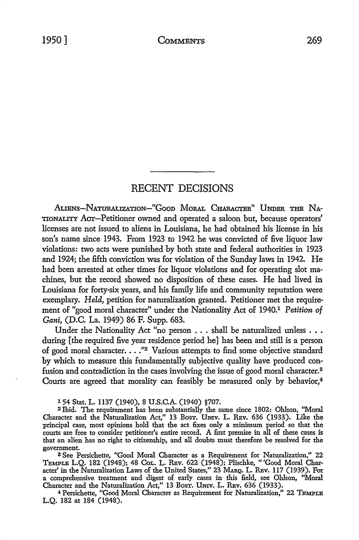## RECENT DECISIONS

ALIENS-NATURALIZATION-"GOOD MORAL CHARACTER" UNDER THE NA-TIONALITY Acrr-Petitioner owned and operated a saloon but, because operators' licenses are not issued to aliens in Louisiana, he had obtained his license in his son's name since 1943. From 1923 to 1942 he was convicted of five liquor law violations: two acts were punished by both state and federal authorities in 1923 and 1924; the fifth conviction was for violation of the Sunday laws in 1942. He had been arrested at other times for liquor violations and for operating slot machines, but the record showed no disposition of these cases. He had lived in Louisiana for forty-six years, and his family life and community reputation were exemplary. *Held*, petition for naturalization granted. Petitioner met the requirement of "good moral character" under the Nationality Act of 1940.1 *Petition of Gani,* (D.C. La. 1949) 86 F. Supp. 683.

Under the Nationality Act "no person . . . shall be naturalized unless . . . during [ the required five year residence period he] has been and still is a person of good moral character. . . . "<sup>2</sup> Various attempts to find some objective standard by which *to* measure this fundamentally subjective quality have produced confusion and contradiction in the cases involving the issue of good moral character.<sup>3</sup> Courts are agreed that morality can feasibly be measured only by behavior,<sup>4</sup>

154 Stat. L. 1137 (1940), 8 U.S.C.A. (1940) §707.

<sup>2</sup>Ibid. The requirement has been substantially the same since 1802: Ohlson, "Moral Character and the Naturalization Act," 13 BosT. UNIV. L. REv. 636 (1933). Like the principal case, most opinions hold that the act fixes only a minimum period so that the courts are free to consider petitioner's entire record. A first premise in all of these cases is that an alien has no right to citizenship, and all doubts must therefore be resolved for the government.

3 See Persichette, "Good Moral Character as a Requirement for Naturalization," 22 TEMPLE L.Q. 182 (1948); 48 CoL. L. REv. 622 (1948); Plischke, "'Good Moral Character' in the Naturalization Laws of the United States," 23 MARQ. L. REv. 117 (1939). For a comprehensive treatment and digest of early cases in this field, see Ohlson, "Moral Character and the Naturalization Act," 13 BosT. UNIV. L. REv. 636 (1933).

4 Persichette, "Good Moral Character as Requirement for Naturalization," 22 TEMPLE L.Q. 182 at 184 (1948).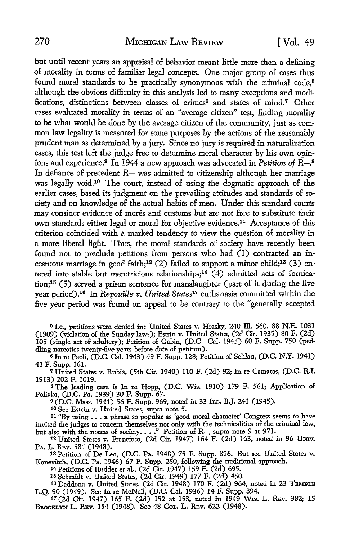but until recent years an appraisal of behavior meant little more than a defining of morality in terms of familiar legal concepts. One major group of cases thus found moral standards to be practically synonymous with the criminal code.<sup>5</sup> although the obvious difficulty in this analysis led to many exceptions and modifications, distinctions between classes of crimes<sup>6</sup> and states of mind.<sup>7</sup> Other cases evaluated morality in terms of an "average citizen" test, finding morality to be what would be done by the average citizen of the community, just as common law legality is measured for some purposes by the actions of the reasonably prudent man as determined by a jury. Since no jury is required in naturalization cases, this test left the judge free to determine moral character by his own opinions and experience.8 In 1944 a new approach was advocated in *Petition of* R-.9 In defiance of precedent *R*— was admitted to citizenship although her marriage was legally void.10 The court, instead of using the dogmatic approach of the earlier cases, based its judgment on the prevailing attitudes and standards of society and on knowledge of the actual habits of men. Under this standard courts may consider evidence of morés and customs but are not free to substitute their own standards either legal or moral for objective evidence.11 Acceptance of this criterion coincided with a marked tendency to view the question of morality in a more liberal light. Thus, the moral standards of society have recently been found not to preclude petitions from persons who had (I) contracted an incestuous marriage in good faith;<sup>12</sup> (2) failed to support a minor child;<sup>13</sup> (3) entered into stable but meretricious relationships;<sup>14</sup>  $(4)$  admitted acts of fornication;15 (5) served a prison sentence for manslaughter (part of it during the five year period).16 In *Repouille v. United States11* euthanasia committed within the five year period was found on appeal to be contrary to the "generally accepted

<sup>5</sup>I.e., petitions were denied in: United States v. Hrasky, 240 lli. 560, 88 N.E. 1031 (1909) (violation of the Sunday laws); Estrin v. United States, (2d Cir. 1935) 80 F. (2d) 105 (single act of adultery); Petition of Gabin, (D.C. Cal. 1945) 60 F. Supp. 750 (peddling narcotics twenty-five years before date of petition).

 $6$  In re Paoli, (D.C. Cal. 1943) 49 F. Supp. 128; Petition of Schlau, (D.C. N.Y. 1941) 41 F. Supp. 161.

<sup>7</sup>United States v. Rubia, (5th Cir. 1940) 110 F. (2d) 92; In re Camaras, (D.C. R.I. 1913) 202 F. 1019.

<sup>8</sup>The leading case is In re Hopp, (D.C. Wis. 1910) 179 F. 561; Application of Polivka, (D.C. Pa. 1939) 30 F. Supp. 67.

<sup>9</sup>(D.C. Mass. 1944) 56 F. Supp. 969, noted in 33 h.r.. B.J. 241 (1945).

10 See Estrin v. United States, supra note 5.,

<sup>11</sup>"By using •.• a phrase so popular as 'good moral character' Congress seems to have invited the judges to concern themselves not only with the technicalities of the criminal law, but also with the norms of society.  $\ldots$  " Petition of R-, supra note 9 at 971.

12 United States v. Francioso, (2d Cir. 1947) 164 F. (2d) 163, noted in 96 UNIV. PA. L. REv. 584 (1948).

13 Petition of De Leo, (D.C. Pa. 1948) 75 F. Supp. 896. But see United States v. Konevitch, (D.C. Pa. 1946) 67 F. Supp. 250, following the traditional approach.

14 Petitions of Rudder et al., (2d Cir. 1947) 159 F. (2d) 695.

15 Schmidt v. United States, (2d Cir. 1949) 177 F. (2d) 450.

16 Daddona v. United States, (2d Cir. 1948) 170 F. (2d) 964, noted in 23 TEMPLB L.Q. 90 (1949). See In re McNeil, (D.C. Cal. 1936) 14 F. Supp. 394.

17 (2d Cir. 1947) 165 F. (2d) 152 at 153, noted in 1949 Wxs. L. REv. 382; 15 BROOKLYN L. REV. 154 (1948). See 48 Col. L. REV. 622 (1948).